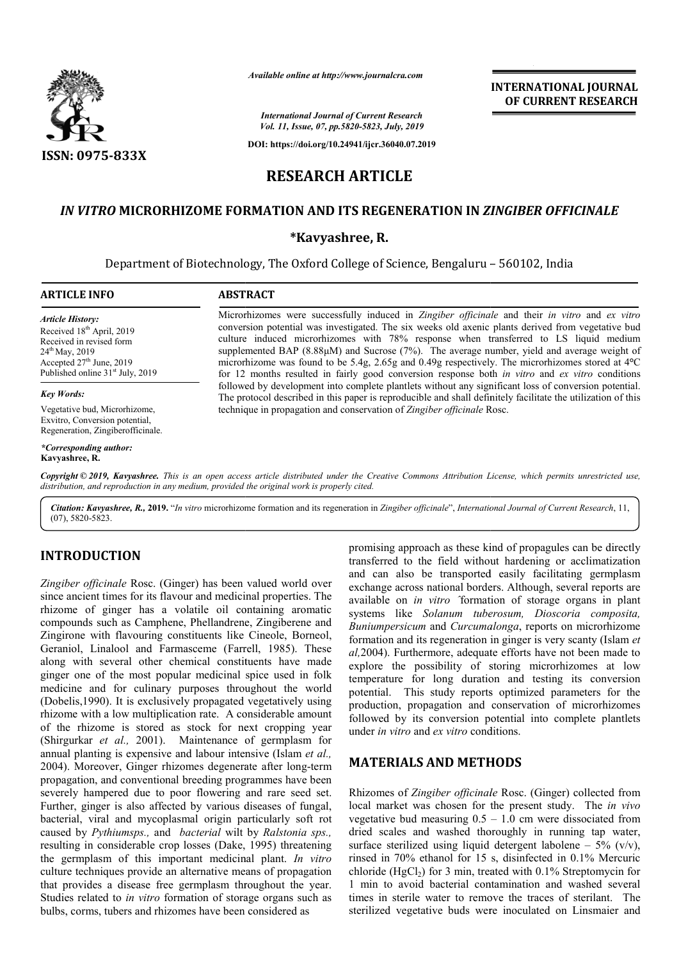

*Available online at http://www.journalcra.com*

*International Journal of Current Research Vol. 11, Issue, 07, pp.5820-5823, July, 2019*

**DOI: https://doi.org/10.24941/ijcr.36040.07.2019**

**INTERNATIONAL JOURNAL OF CURRENT RESEARCH**

# **RESEARCH ARTICLE**

# *IN VITRO* **MICRORHIZOME FORMATION AND ITS REGENERATION IN**  *ZINGIBER OFFICINALE ZINGIBER*

### **\*Kavyashree, R.**

Department of Biotechnology, The Oxford College of Science, Bengaluru – 560102, India

#### **ARTICLE INFO ABSTRACT**

*Article History:* Received 18<sup>th</sup> April, 2019 Received in revised form 24<sup>th</sup> May, 2019 Accepted  $27<sup>th</sup>$  June, 2019 Published online 31st July, 2019

#### *Key Words:*

Vegetative bud, Microrhizome, Exvitro, Conversion potential, Regeneration, Zingiberofficinale.

*\*Corresponding author:*  **Kavyashree, R.**

Microrhizomes were successfully induced in *Zingiber officinale Zingiber* and their *in vitro* and *ex vitro*  conversion potential was investigated. The six weeks old axenic plants derived from vegetative bud conversion potential was investigated. The six weeks old axenic plants derived from vegetative bud culture induced microrhizomes with 78% response when transferred to LS liquid medium supplemented BAP (8.88μM) and Sucrose (7%). The average number, yield and average weight of supplemented BAP (8.88µM) and Sucrose (7%). The average number, yield and average weight of microrhizome was found to be 5.4g, 2.65g and 0.49g respectively. The microrhizomes stored at 4<sup>o</sup>C for 12 months resulted in fairly good conversion response both *in vitro* and *ex vitro* conditions followed by development into complete plantlets without any significant loss of conversion potential. followed by development into complete plantlets without any significant loss of conversion potential.<br>The protocol described in this paper is reproducible and shall definitely facilitate the utilization of this technique in propagation and conservation of Zingiber officinale Rosc.

Copyright © 2019, Kavyashree. This is an open access article distributed under the Creative Commons Attribution License, which permits unrestricted use, *distribution, and reproduction in any medium, provided the original work is properly cited.*

*Citation: Kavyashree, R.,* **2019.** "*In vitro* microrhizome formation and its regeneration in *Zingiber officinale*", *International Journal of Current Research* , 11, (07), 5820-5823.

## **INTRODUCTION**

*Zingiber officinale* Rosc. (Ginger) has been valued world over since ancient times for its flavour and medicinal properties. The rhizome of ginger has a volatile oil containing aromatic compounds such as Camphene, Phellandrene, Zingiberene and Zingirone with flavouring constituents like Cineole, Borneol, Geraniol, Linalool and Farmasceme (Farrell Farrell, 1985). These along with several other chemical constituents have made ginger one of the most popular medicinal spice used in folk medicine and for culinary purposes throughout the world (Dobelis,1990). It is exclusively propagated vegetatively using rhizome with a low multiplication rate. A considerable amount (Dobelis, 1990). It is exclusively propagated vegetatively using<br>thizome with a low multiplication rate. A considerable amount<br>of the rhizome is stored as stock for next cropping year (Shirgurkar *et al.,* 2001). Maintenance of germplasm for annual planting is expensive and labour intensive (Islam *et al.,*  2004). Moreover, Ginger rhizomes degenerate after long-term propagation, and conventional breeding programmes have been severely hampered due to poor flowering and rare seed set. Further, ginger is also affected by various diseases of fungal, bacterial, viral and mycoplasmal origin particularly soft rot caused by *Pythiumsps.,* and *bacterial* wilt by *Ralstonia sps.,*  resulting in considerable crop losses (Dake, Dake, 1995) threatening the germplasm of this important medicinal plant. *In vitro*  culture techniques provide an alternative means of propagation that provides a disease free germplasm throughout the year. Studies related to *in vitro* formation of storage organs such as bulbs, corms, tubers and rhizomes have been considered as

promising approach as these kind of propagules can be directly transferred to the field without hardening or acclimatization promising approach as these kind of propagules can be directly transferred to the field without hardening or acclimatization and can also be transported easily facilitating germplasm exchange across national borders. Although, several reports are available on *in vitro* <sup>2</sup>formation of storage organs in plant systems like *Solanum tuberosum, Dioscoria composita, Solanum Buniumpersicum* and *Curcumalonga* , reports on microrhizome formation and its regeneration in ginger is very scanty (Islam *et al,*2004). Furthermore, adequate efforts have not been made to explore the possibility of storing microrhizomes at low temperature for long duration and testing its conversion potential. This study reports optimized parameters for the production, propagation and conservation of microrhizomes followed by its conversion potential into complete plantlets under *in vitro* and *ex vitro* conditions. possibility of storing microrhizomes at<br>for long duration and testing its conver:<br>This study reports optimized parameters for<br>propagation and conservation of microrhizo

## **MATERIALS AND METHODS METHODS**

Rhizomes of Zingiber officinale Rosc. (Ginger) collected from local market was chosen for the present study. The *in vivo*  vegetative bud measuring  $0.5 - 1.0$  cm were dissociated from dried scales and washed thoroughly in running tap water, dried scales and washed thoroughly in running tap water, surface sterilized using liquid detergent labolene – 5% ( $v/v$ ), rinsed in 70% ethanol for 15 s, disinfected in 0.1% Mercuric chloride (HgCl<sub>2</sub>) for 3 min, treated with  $0.1\%$  Streptomycin for 1 min to avoid bacterial contamination and washed several times in sterile water to remove the traces of sterilant. The sterilized vegetative buds were inoculated on Linsmaier and in 70% ethanol for 15 s, disinfected in 0.1% Mercuric e (HgCl<sub>2</sub>) for 3 min, treated with 0.1% Streptomycin for to avoid bacterial contamination and washed several in sterile water to remove the traces of sterilant. The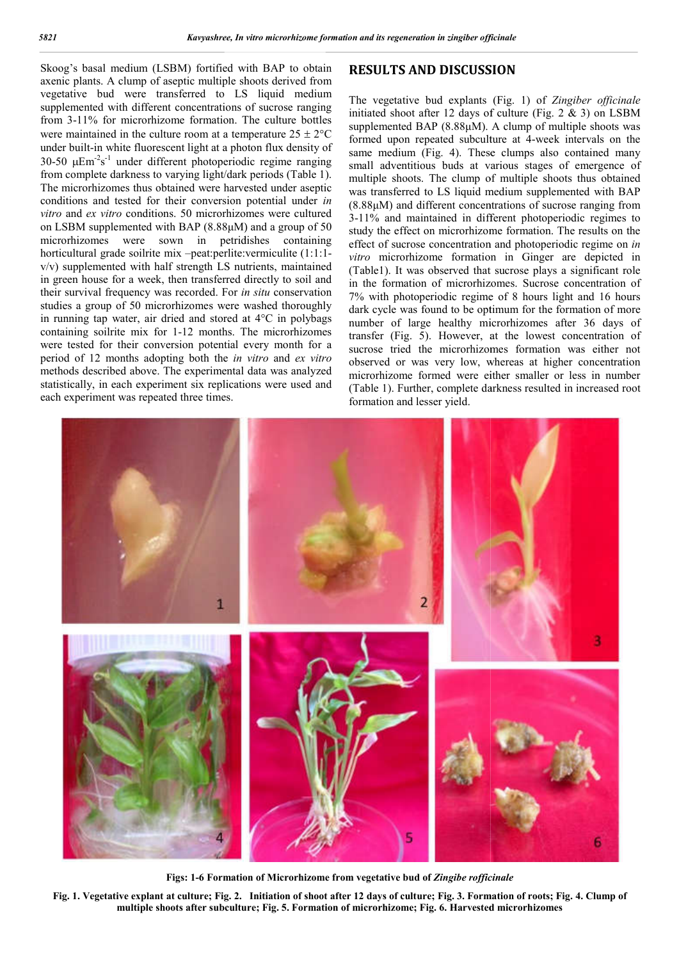Skoog's basal medium (LSBM) fortified with BAP to obtain axenic plants. A clump of aseptic multiple shoots derived from vegetative bud were transferred to LS liquid medium supplemented with different concentrations of sucrose ranging from 3-11% for microrhizome formation. The culture bottles were maintained in the culture room at a temperature  $25 \pm 2^{\circ}C$ under built-in white fluorescent light at a photon flux density of 30-50  $\mu$ Em<sup>-2</sup>s<sup>-1</sup> under different photoperiodic regime ranging from complete darkness to varying light/dark periods (Table 1). The microrhizomes thus obtained were harvested under aseptic conditions and tested for their conversion potential under *in vitro* and *ex vitro* conditions. 50 microrhizomes were cultured on LSBM supplemented with BAP (8.88μM) and a group of 50 microrhizomes were sown in petridishes containing horticultural grade soilrite mix –peat:perlite:vermiculite (1:1:1 peat:perlite:vermiculite (1:1:1  $v/v$ ) supplemented with half strength LS nutrients, maintained in green house for a week, then transferred directly to soil and their survival frequency was recorded. For *in situ* conservation studies a group of 50 microrhizomes were washed thoroughly in running tap water, air dried and stored at  $4^{\circ}$ C in polybags containing soilrite mix for 1-12 months. The microrhizomes were tested for their conversion potential every month for a period of 12 months adopting both the *in vitro* and *ex vitro* methods described above. The experimental data was analyzed statistically, in each experiment six replications were used and each experiment was repeated three times.

#### **RESULTS AND DISCUSSION**

The vegetative bud explants (Fig. 1) of Zingiber officinale initiated shoot after 12 days of culture (Fig. 2 & 3) on LSBM supplemented BAP (8.88μM). A clump of multiple shoots was formed upon repeated subculture at 4-week intervals on the same medium (Fig. 4). These clumps also contained many small adventitious buds at various stages of emergence of multiple shoots. The clump of multiple shoots thus obtained was transferred to LS liquid medium supplemented with BAP (8.88μM) and different concentrations of sucrose ranging from 3-11% and maintained in different photoperiodic regimes to study the effect on microrhizome formation. The results on the effect of sucrose concentration and photoperiodic regime on in *vitro* microrhizome formation in Ginger are depicted in (Table1). It was observed that sucrose plays a significant role in the formation of microrhizomes. Sucrose concentration of 7% with photoperiodic regime of 8 hours light and 16 hours dark cycle was found to be optimum for the formation of more number of large healthy microrhizomes after 36 days of transfer (Fig. 5). However, at the lowest concentration of sucrose tried the microrhizomes formation was either not observed or was very low, whereas at higher concentration microrhizome formed were either smaller or less in number (Table 1). Further, complete darkness resulted in increased root formation and lesser yield. 12 days of culture (Fig. 2 & 3) on LSBM<br>(8.88 $\mu$ M). A clump of multiple shoots was<br>ed subculture at 4-week intervals on the me medium (Fig. 4). These clumps also contained many nall adventitious buds at various stages of emergence of ultiple shoots. The clump of multiple shoots thus obtained as transferred to LS liquid medium supplemented with microrhizome formation in Ginger are depicted in 1). It was observed that sucrose plays a significant role formation of microrhizomes. Sucrose concentration of 7% with photoperiodic regime of 8 hours light and 16 hours dark cycle was found to be optimum for the formation of more number of large healthy microrhizomes after 36 days of transfer (Fig. 5). However, at the lowest conce



**Figs: 1-6 Formation of Microrhizome from vegetative bud of 6**  *Zingibe rofficinale officinale*

**Fig. 1. Vegetative explant at culture; Fig. 2. Initiation of shoot after 12 days of culture; Fig. 3. Formation of roots roots; Fig. 4. Clump of**  multiple shoots after subculture; Fig. 5. Formation of microrhizome; Fig. 6. Harvested microrhizomes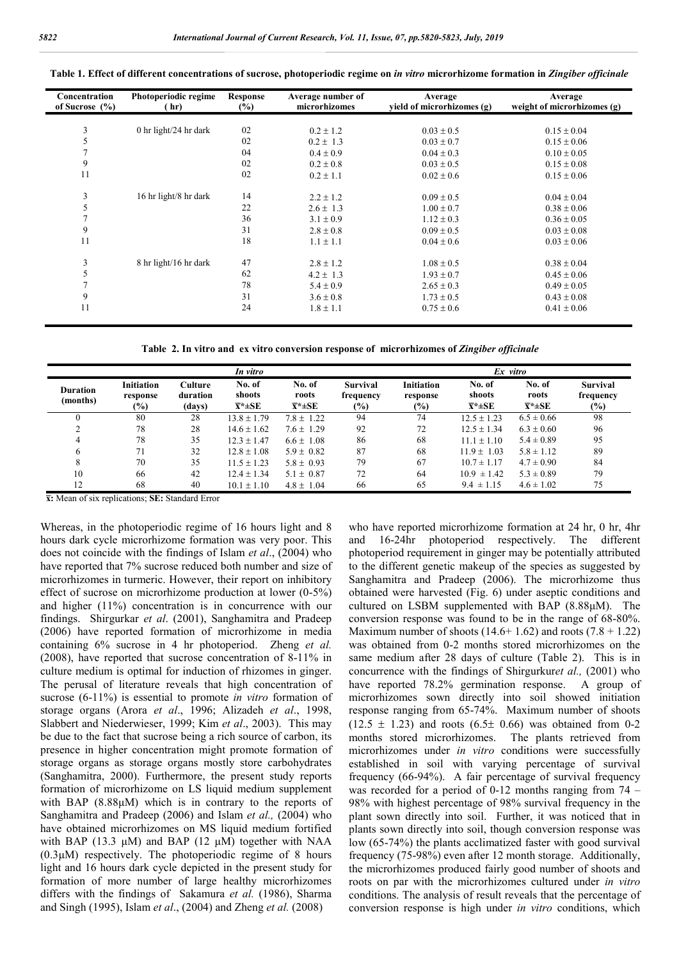| Concentration<br>of Sucrose $(\% )$ | Photoperiodic regime<br>(hr) | <b>Response</b><br>$(\%)$ | Average number of<br>microrhizomes | Average<br>yield of microrhizomes (g) | Average<br>weight of microrhizomes (g) |  |
|-------------------------------------|------------------------------|---------------------------|------------------------------------|---------------------------------------|----------------------------------------|--|
|                                     |                              |                           |                                    |                                       |                                        |  |
| 3                                   | 0 hr light/24 hr dark        | 02                        | $0.2 \pm 1.2$                      | $0.03 \pm 0.5$                        | $0.15 \pm 0.04$                        |  |
| 5                                   |                              | 02                        | $0.2 \pm 1.3$                      | $0.03 \pm 0.7$                        | $0.15 \pm 0.06$                        |  |
| $\overline{7}$                      |                              | 04                        | $0.4 \pm 0.9$                      | $0.04 \pm 0.3$                        | $0.10 \pm 0.05$                        |  |
| 9                                   |                              | 02                        | $0.2 \pm 0.8$                      | $0.03 \pm 0.5$                        | $0.15 \pm 0.08$                        |  |
| 11                                  |                              | 02                        | $0.2 \pm 1.1$                      | $0.02 \pm 0.6$                        | $0.15 \pm 0.06$                        |  |
| 3                                   | 16 hr light/8 hr dark        | 14                        | $2.2 \pm 1.2$                      | $0.09 \pm 0.5$                        | $0.04 \pm 0.04$                        |  |
| 5                                   |                              | 22                        | $2.6 \pm 1.3$                      | $1.00 \pm 0.7$                        | $0.38 \pm 0.06$                        |  |
| 7                                   |                              | 36                        | $3.1 \pm 0.9$                      | $1.12 \pm 0.3$                        | $0.36 \pm 0.05$                        |  |
| 9                                   |                              | 31                        | $2.8 \pm 0.8$                      | $0.09 \pm 0.5$                        | $0.03 \pm 0.08$                        |  |
| 11                                  |                              | 18                        | $1.1 \pm 1.1$                      | $0.04 \pm 0.6$                        | $0.03 \pm 0.06$                        |  |
| 3                                   | 8 hr light/16 hr dark        | 47                        | $2.8 \pm 1.2$                      | $1.08 \pm 0.5$                        | $0.38 \pm 0.04$                        |  |
| 5                                   |                              | 62                        | $4.2 \pm 1.3$                      | $1.93 \pm 0.7$                        | $0.45 \pm 0.06$                        |  |
|                                     |                              | 78                        | $5.4 \pm 0.9$                      | $2.65 \pm 0.3$                        | $0.49 \pm 0.05$                        |  |
| 9                                   |                              | 31                        | $3.6 \pm 0.8$                      | $1.73 \pm 0.5$                        | $0.43 \pm 0.08$                        |  |
| 11                                  |                              | 24                        | $1.8 \pm 1.1$                      | $0.75 \pm 0.6$                        | $0.41 \pm 0.06$                        |  |

**Table 1. Effect of different concentrations of sucrose, photoperiodic regime on** *in vitro* **microrhizome formation in** *Zingiber officinale*

**Table 2. In vitro and ex vitro conversion response of microrhizomes of** *Zingiber officinale*

|                             | In vitro                                |                               |                                         |                                        |                                        | Ex vitro                                |                                         |                                        |                                        |
|-----------------------------|-----------------------------------------|-------------------------------|-----------------------------------------|----------------------------------------|----------------------------------------|-----------------------------------------|-----------------------------------------|----------------------------------------|----------------------------------------|
| <b>Duration</b><br>(months) | <b>Initiation</b><br>response<br>$(\%)$ | Culture<br>duration<br>(days) | No. of<br>shoots<br>$\overline{x}$ *±SE | No. of<br>roots<br>$\overline{x}$ *±SE | <b>Survival</b><br>frequency<br>$(\%)$ | <b>Initiation</b><br>response<br>$(\%)$ | No. of<br>shoots<br>$\overline{x}$ *±SE | No. of<br>roots<br>$\overline{x}$ *±SE | <b>Survival</b><br>frequency<br>$(\%)$ |
| $\theta$                    | 80                                      | 28                            | $13.8 \pm 1.79$                         | $7.8 \pm 1.22$                         | 94                                     | 74                                      | $12.5 + 1.23$                           | $6.5 \pm 0.66$                         | 98                                     |
|                             | 78                                      | 28                            | $14.6 \pm 1.62$                         | $7.6 \pm 1.29$                         | 92                                     | 72                                      | $12.5 \pm 1.34$                         | $6.3 \pm 0.60$                         | 96                                     |
| 4                           | 78                                      | 35                            | $12.3 + 1.47$                           | $6.6 \pm 1.08$                         | 86                                     | 68                                      | $11.1 + 1.10$                           | $5.4 \pm 0.89$                         | 95                                     |
| 6                           | 71                                      | 32                            | $12.8 \pm 1.08$                         | $5.9 \pm 0.82$                         | 87                                     | 68                                      | $11.9 + 1.03$                           | $5.8 \pm 1.12$                         | 89                                     |
| 8                           | 70                                      | 35                            | $11.5 + 1.23$                           | $5.8 \pm 0.93$                         | 79                                     | 67                                      | $10.7 \pm 1.17$                         | $4.7 \pm 0.90$                         | 84                                     |
| 10                          | 66                                      | 42                            | $12.4 \pm 1.34$                         | $5.1 \pm 0.87$                         | 72                                     | 64                                      | $10.9 \pm 1.42$                         | $5.3 \pm 0.89$                         | 79                                     |
| 12                          | 68                                      | 40                            | $10.1 \pm 1.10$                         | $4.8 \pm 1.04$                         | 66                                     | 65                                      | $9.4 \pm 1.15$                          | $4.6 \pm 1.02$                         | 75                                     |

**x̅:** Mean of six replications; **SE:** Standard Error

Whereas, in the photoperiodic regime of 16 hours light and 8 hours dark cycle microrhizome formation was very poor. This does not coincide with the findings of Islam *et al*., (2004) who have reported that 7% sucrose reduced both number and size of microrhizomes in turmeric. However, their report on inhibitory effect of sucrose on microrhizome production at lower (0-5%) and higher (11%) concentration is in concurrence with our findings. Shirgurkar *et al*. (2001), Sanghamitra and Pradeep (2006) have reported formation of microrhizome in media containing 6% sucrose in 4 hr photoperiod. Zheng *et al.* (2008), have reported that sucrose concentration of 8-11% in culture medium is optimal for induction of rhizomes in ginger. The perusal of literature reveals that high concentration of sucrose (6-11%) is essential to promote *in vitro* formation of storage organs (Arora *et al*., 1996; Alizadeh *et al*., 1998, Slabbert and Niederwieser, 1999; Kim *et al*., 2003). This may be due to the fact that sucrose being a rich source of carbon, its presence in higher concentration might promote formation of storage organs as storage organs mostly store carbohydrates (Sanghamitra, 2000). Furthermore, the present study reports formation of microrhizome on LS liquid medium supplement with BAP (8.88μM) which is in contrary to the reports of Sanghamitra and Pradeep (2006) and Islam *et al.,* (2004) who have obtained microrhizomes on MS liquid medium fortified with BAP (13.3 μM) and BAP (12 μM) together with NAA  $(0.3\mu)$  respectively. The photoperiodic regime of 8 hours light and 16 hours dark cycle depicted in the present study for formation of more number of large healthy microrhizomes differs with the findings of Sakamura *et al.* (1986), Sharma and Singh (1995), Islam *et al*., (2004) and Zheng *et al.* (2008)

who have reported microrhizome formation at 24 hr, 0 hr, 4hr 16-24hr photoperiod respectively. The different photoperiod requirement in ginger may be potentially attributed to the different genetic makeup of the species as suggested by Sanghamitra and Pradeep (2006). The microrhizome thus obtained were harvested (Fig. 6) under aseptic conditions and cultured on LSBM supplemented with BAP (8.88μM). The conversion response was found to be in the range of 68-80%. Maximum number of shoots  $(14.6+1.62)$  and roots  $(7.8+1.22)$ was obtained from 0-2 months stored microrhizomes on the same medium after 28 days of culture (Table 2). This is in concurrence with the findings of Shirgurkur*et al.,* (2001) who have reported 78.2% germination response. A group of microrhizomes sown directly into soil showed initiation response ranging from 65-74%. Maximum number of shoots  $(12.5 \pm 1.23)$  and roots  $(6.5 \pm 0.66)$  was obtained from 0-2 months stored microrhizomes. The plants retrieved from microrhizomes under *in vitro* conditions were successfully established in soil with varying percentage of survival frequency (66-94%). A fair percentage of survival frequency was recorded for a period of 0-12 months ranging from 74 – 98% with highest percentage of 98% survival frequency in the plant sown directly into soil. Further, it was noticed that in plants sown directly into soil, though conversion response was low (65-74%) the plants acclimatized faster with good survival frequency (75-98%) even after 12 month storage. Additionally, the microrhizomes produced fairly good number of shoots and roots on par with the microrhizomes cultured under *in vitro*  conditions. The analysis of result reveals that the percentage of conversion response is high under *in vitro* conditions, which